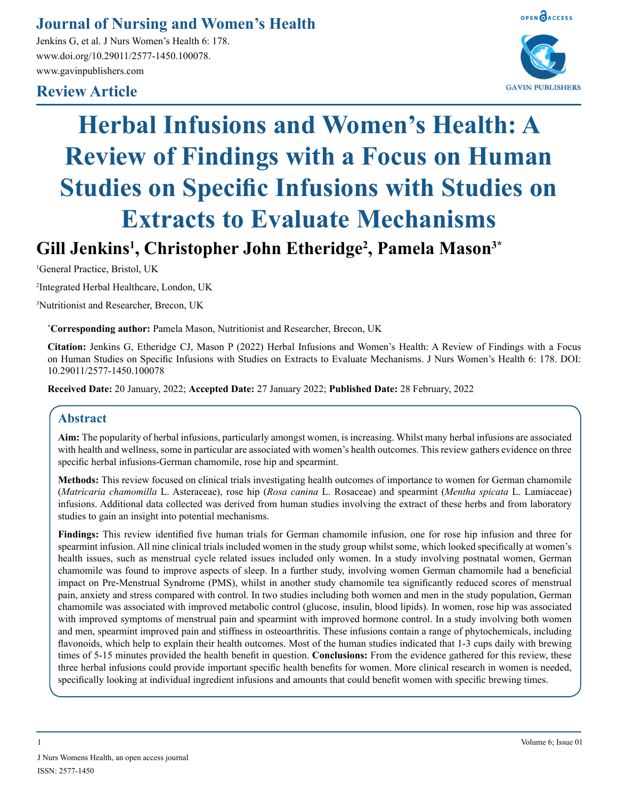## **Journal of Nursing and Women's Health**

Jenkins G, et al. J Nurs Women's Health 6: 178. www.doi.org/10.29011/2577-1450.100078. www.gavinpublishers.com

## **Review Article**



# **Herbal Infusions and Women's Health: A Review of Findings with a Focus on Human Studies on Specific Infusions with Studies on Extracts to Evaluate Mechanisms**

## **Gill Jenkins1 , Christopher John Etheridge2 , Pamela Mason3\***

1 General Practice, Bristol, UK

2 Integrated Herbal Healthcare, London, UK

3 Nutritionist and Researcher, Brecon, UK

**\* Corresponding author:** Pamela Mason, Nutritionist and Researcher, Brecon, UK

**Citation:** Jenkins G, Etheridge CJ, Mason P (2022) Herbal Infusions and Women's Health: A Review of Findings with a Focus on Human Studies on Specific Infusions with Studies on Extracts to Evaluate Mechanisms. J Nurs Women's Health 6: 178. DOI: 10.29011/2577-1450.100078

**Received Date:** 20 January, 2022; **Accepted Date:** 27 January 2022; **Published Date:** 28 February, 2022

#### **Abstract**

**Aim:** The popularity of herbal infusions, particularly amongst women, is increasing. Whilst many herbal infusions are associated with health and wellness, some in particular are associated with women's health outcomes. This review gathers evidence on three specific herbal infusions-German chamomile, rose hip and spearmint.

**Methods:** This review focused on clinical trials investigating health outcomes of importance to women for German chamomile (*Matricaria chamomilla* L. Asteraceae), rose hip (*Rosa canina* L. Rosaceae) and spearmint (*Mentha spicata* L. Lamiaceae) infusions. Additional data collected was derived from human studies involving the extract of these herbs and from laboratory studies to gain an insight into potential mechanisms.

**Findings:** This review identified five human trials for German chamomile infusion, one for rose hip infusion and three for spearmint infusion. All nine clinical trials included women in the study group whilst some, which looked specifically at women's health issues, such as menstrual cycle related issues included only women. In a study involving postnatal women, German chamomile was found to improve aspects of sleep. In a further study, involving women German chamomile had a beneficial impact on Pre-Menstrual Syndrome (PMS), whilst in another study chamomile tea significantly reduced scores of menstrual pain, anxiety and stress compared with control. In two studies including both women and men in the study population, German chamomile was associated with improved metabolic control (glucose, insulin, blood lipids). In women, rose hip was associated with improved symptoms of menstrual pain and spearmint with improved hormone control. In a study involving both women and men, spearmint improved pain and stiffness in osteoarthritis. These infusions contain a range of phytochemicals, including flavonoids, which help to explain their health outcomes. Most of the human studies indicated that 1-3 cups daily with brewing times of 5-15 minutes provided the health benefit in question. **Conclusions:** From the evidence gathered for this review, these three herbal infusions could provide important specific health benefits for women. More clinical research in women is needed, specifically looking at individual ingredient infusions and amounts that could benefit women with specific brewing times.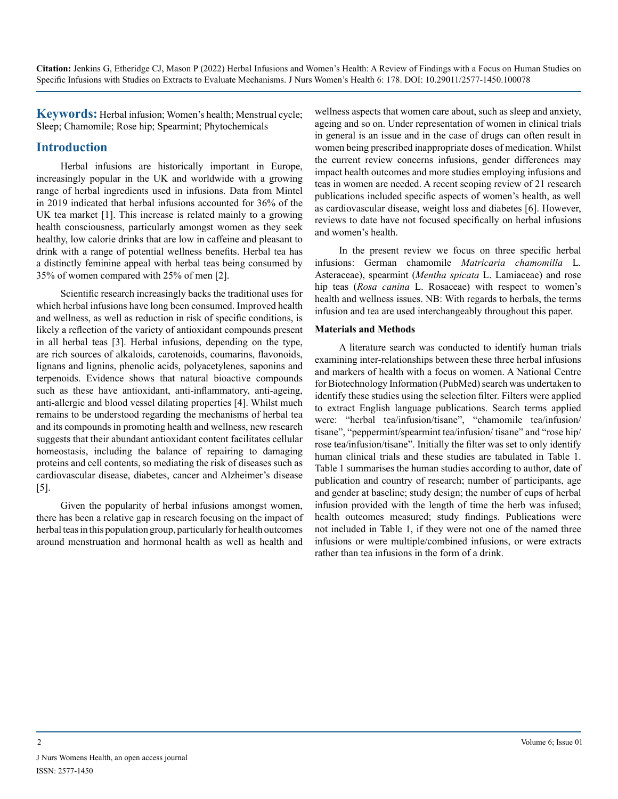**Keywords:** Herbal infusion; Women's health; Menstrual cycle; Sleep; Chamomile; Rose hip; Spearmint; Phytochemicals

### **Introduction**

Herbal infusions are historically important in Europe, increasingly popular in the UK and worldwide with a growing range of herbal ingredients used in infusions. Data from Mintel in 2019 indicated that herbal infusions accounted for 36% of the UK tea market [1]. This increase is related mainly to a growing health consciousness, particularly amongst women as they seek healthy, low calorie drinks that are low in caffeine and pleasant to drink with a range of potential wellness benefits. Herbal tea has a distinctly feminine appeal with herbal teas being consumed by 35% of women compared with 25% of men [2].

Scientific research increasingly backs the traditional uses for which herbal infusions have long been consumed. Improved health and wellness, as well as reduction in risk of specific conditions, is likely a reflection of the variety of antioxidant compounds present in all herbal teas [3]. Herbal infusions, depending on the type, are rich sources of alkaloids, carotenoids, coumarins, flavonoids, lignans and lignins, phenolic acids, polyacetylenes, saponins and terpenoids. Evidence shows that natural bioactive compounds such as these have antioxidant, anti-inflammatory, anti-ageing, anti-allergic and blood vessel dilating properties [4]. Whilst much remains to be understood regarding the mechanisms of herbal tea and its compounds in promoting health and wellness, new research suggests that their abundant antioxidant content facilitates cellular homeostasis, including the balance of repairing to damaging proteins and cell contents, so mediating the risk of diseases such as cardiovascular disease, diabetes, cancer and Alzheimer's disease [5].

Given the popularity of herbal infusions amongst women, there has been a relative gap in research focusing on the impact of herbal teas in this population group, particularly for health outcomes around menstruation and hormonal health as well as health and wellness aspects that women care about, such as sleep and anxiety, ageing and so on. Under representation of women in clinical trials in general is an issue and in the case of drugs can often result in women being prescribed inappropriate doses of medication. Whilst the current review concerns infusions, gender differences may impact health outcomes and more studies employing infusions and teas in women are needed. A recent scoping review of 21 research publications included specific aspects of women's health, as well as cardiovascular disease, weight loss and diabetes [6]. However, reviews to date have not focused specifically on herbal infusions and women's health.

In the present review we focus on three specific herbal infusions: German chamomile *Matricaria chamomilla* L*.*  Asteraceae), spearmint (*Mentha spicata* L. Lamiaceae) and rose hip teas (*Rosa canina* L. Rosaceae) with respect to women's health and wellness issues. NB: With regards to herbals, the terms infusion and tea are used interchangeably throughout this paper.

#### **Materials and Methods**

A literature search was conducted to identify human trials examining inter-relationships between these three herbal infusions and markers of health with a focus on women. A National Centre for Biotechnology Information (PubMed) search was undertaken to identify these studies using the selection filter. Filters were applied to extract English language publications. Search terms applied were: "herbal tea/infusion/tisane", "chamomile tea/infusion/ tisane", "peppermint/spearmint tea/infusion/ tisane" and "rose hip/ rose tea/infusion/tisane". Initially the filter was set to only identify human clinical trials and these studies are tabulated in Table 1. Table 1 summarises the human studies according to author, date of publication and country of research; number of participants, age and gender at baseline; study design; the number of cups of herbal infusion provided with the length of time the herb was infused; health outcomes measured; study findings. Publications were not included in Table 1, if they were not one of the named three infusions or were multiple/combined infusions, or were extracts rather than tea infusions in the form of a drink.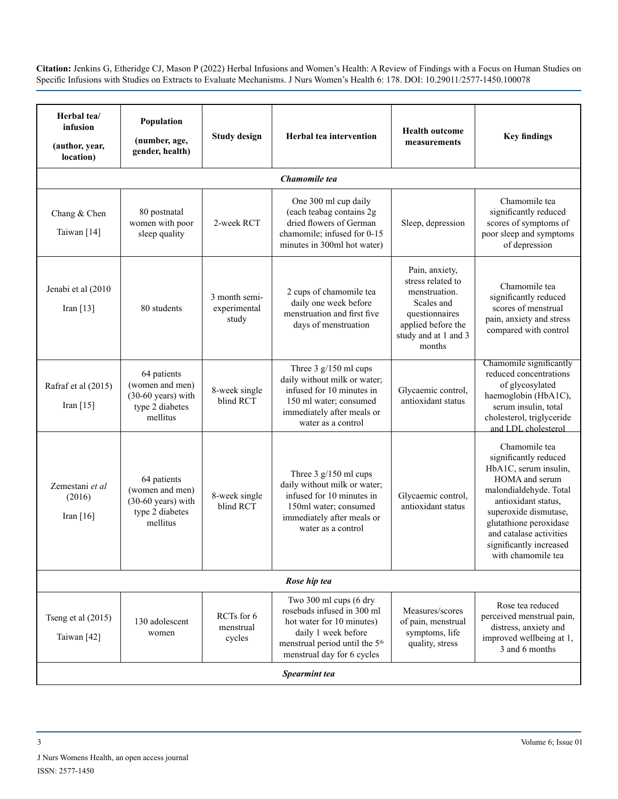| Herbal tea/<br>infusion<br>(author, year,<br>location) | Population<br>(number, age,<br>gender, health)                                                | <b>Study design</b>                    | <b>Herbal tea intervention</b>                                                                                                                                                       | <b>Health outcome</b><br>measurements                                                                                                        | <b>Key findings</b>                                                                                                                                                                                                                                               |  |  |  |  |
|--------------------------------------------------------|-----------------------------------------------------------------------------------------------|----------------------------------------|--------------------------------------------------------------------------------------------------------------------------------------------------------------------------------------|----------------------------------------------------------------------------------------------------------------------------------------------|-------------------------------------------------------------------------------------------------------------------------------------------------------------------------------------------------------------------------------------------------------------------|--|--|--|--|
| Chamomile tea                                          |                                                                                               |                                        |                                                                                                                                                                                      |                                                                                                                                              |                                                                                                                                                                                                                                                                   |  |  |  |  |
| Chang & Chen<br>Taiwan <sup>[14]</sup>                 | 80 postnatal<br>women with poor<br>sleep quality                                              | 2-week RCT                             | One 300 ml cup daily<br>(each teabag contains 2g<br>dried flowers of German<br>chamomile; infused for 0-15<br>minutes in 300ml hot water)                                            | Sleep, depression                                                                                                                            | Chamomile tea<br>significantly reduced<br>scores of symptoms of<br>poor sleep and symptoms<br>of depression                                                                                                                                                       |  |  |  |  |
| Jenabi et al (2010<br>Iran $[13]$                      | 80 students                                                                                   | 3 month semi-<br>experimental<br>study | 2 cups of chamomile tea<br>daily one week before<br>menstruation and first five<br>days of menstruation                                                                              | Pain, anxiety,<br>stress related to<br>menstruation.<br>Scales and<br>questionnaires<br>applied before the<br>study and at 1 and 3<br>months | Chamomile tea<br>significantly reduced<br>scores of menstrual<br>pain, anxiety and stress<br>compared with control                                                                                                                                                |  |  |  |  |
| Rafraf et al (2015)<br>Iran $[15]$                     | 64 patients<br>(women and men)<br>$(30-60 \text{ years})$ with<br>type 2 diabetes<br>mellitus | 8-week single<br>blind RCT             | Three 3 g/150 ml cups<br>daily without milk or water;<br>infused for 10 minutes in<br>150 ml water; consumed<br>immediately after meals or<br>water as a control                     | Glycaemic control,<br>antioxidant status                                                                                                     | Chamomile significantly<br>reduced concentrations<br>of glycosylated<br>haemoglobin (HbA1C),<br>serum insulin, total<br>cholesterol, triglyceride<br>and LDL cholesterol                                                                                          |  |  |  |  |
| Zemestani et al<br>(2016)<br>Iran $[16]$               | 64 patients<br>(women and men)<br>$(30-60 \text{ years})$ with<br>type 2 diabetes<br>mellitus | 8-week single<br>blind RCT             | Three $3$ g/150 ml cups<br>daily without milk or water;<br>infused for 10 minutes in<br>150ml water; consumed<br>immediately after meals or<br>water as a control                    | Glycaemic control,<br>antioxidant status                                                                                                     | Chamomile tea<br>significantly reduced<br>HbA1C, serum insulin,<br>HOMA and serum<br>malondialdehyde. Total<br>antioxidant status,<br>superoxide dismutase,<br>glutathione peroxidase<br>and catalase activities<br>significantly increased<br>with chamomile tea |  |  |  |  |
| Rose hip tea                                           |                                                                                               |                                        |                                                                                                                                                                                      |                                                                                                                                              |                                                                                                                                                                                                                                                                   |  |  |  |  |
| Tseng et al (2015)<br>Taiwan [42]                      | 130 adolescent<br>women                                                                       | RCTs for 6<br>menstrual<br>cycles      | Two 300 ml cups (6 dry<br>rosebuds infused in 300 ml<br>hot water for 10 minutes)<br>daily 1 week before<br>menstrual period until the 5 <sup>th</sup><br>menstrual day for 6 cycles | Measures/scores<br>of pain, menstrual<br>symptoms, life<br>quality, stress                                                                   | Rose tea reduced<br>perceived menstrual pain,<br>distress, anxiety and<br>improved wellbeing at 1,<br>3 and 6 months                                                                                                                                              |  |  |  |  |
| Spearmint tea                                          |                                                                                               |                                        |                                                                                                                                                                                      |                                                                                                                                              |                                                                                                                                                                                                                                                                   |  |  |  |  |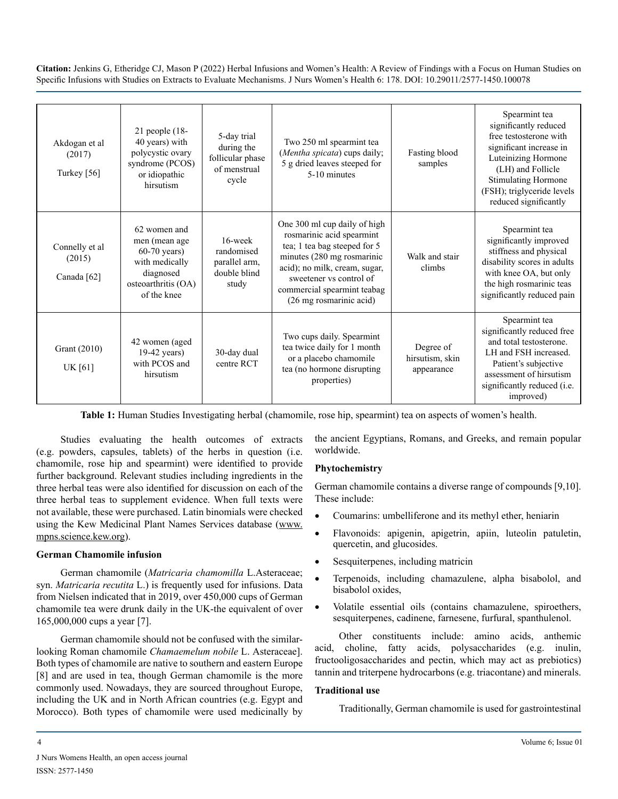| Akdogan et al<br>(2017)<br>Turkey [56]             | $21$ people $(18-$<br>40 years) with<br>polycystic ovary<br>syndrome (PCOS)<br>or idiopathic<br>hirsutism            | 5-day trial<br>during the<br>follicular phase<br>of menstrual<br>cycle | Two 250 ml spearmint tea<br>(Mentha spicata) cups daily;<br>5 g dried leaves steeped for<br>5-10 minutes                                                                                                                                      | Fasting blood<br>samples                   | Spearmint tea<br>significantly reduced<br>free testosterone with<br>significant increase in<br>Luteinizing Hormone<br>(LH) and Follicle<br><b>Stimulating Hormone</b><br>(FSH); triglyceride levels<br>reduced significantly |
|----------------------------------------------------|----------------------------------------------------------------------------------------------------------------------|------------------------------------------------------------------------|-----------------------------------------------------------------------------------------------------------------------------------------------------------------------------------------------------------------------------------------------|--------------------------------------------|------------------------------------------------------------------------------------------------------------------------------------------------------------------------------------------------------------------------------|
| Connelly et al<br>(2015)<br>Canada <sup>[62]</sup> | 62 women and<br>men (mean age<br>$60-70$ years)<br>with medically<br>diagnosed<br>osteoarthritis (OA)<br>of the knee | 16-week<br>randomised<br>parallel arm,<br>double blind<br>study        | One 300 ml cup daily of high<br>rosmarinic acid spearmint<br>tea; 1 tea bag steeped for 5<br>minutes (280 mg rosmarinic<br>acid); no milk, cream, sugar,<br>sweetener vs control of<br>commercial spearmint teabag<br>(26 mg rosmarinic acid) | Walk and stair<br>climbs                   | Spearmint tea<br>significantly improved<br>stiffness and physical<br>disability scores in adults<br>with knee OA, but only<br>the high rosmarinic teas<br>significantly reduced pain                                         |
| Grant (2010)<br><b>UK</b> [61]                     | 42 women (aged<br>19-42 years)<br>with PCOS and<br>hirsutism                                                         | 30-day dual<br>centre RCT                                              | Two cups daily. Spearmint<br>tea twice daily for 1 month<br>or a placebo chamomile<br>tea (no hormone disrupting<br>properties)                                                                                                               | Degree of<br>hirsutism, skin<br>appearance | Spearmint tea<br>significantly reduced free<br>and total testosterone.<br>LH and FSH increased.<br>Patient's subjective<br>assessment of hirsutism<br>significantly reduced (i.e.<br>improved)                               |

**Table 1:** Human Studies Investigating herbal (chamomile, rose hip, spearmint) tea on aspects of women's health.

Studies evaluating the health outcomes of extracts (e.g. powders, capsules, tablets) of the herbs in question (i.e. chamomile, rose hip and spearmint) were identified to provide further background. Relevant studies including ingredients in the three herbal teas were also identified for discussion on each of the three herbal teas to supplement evidence. When full texts were not available, these were purchased. Latin binomials were checked using the Kew Medicinal Plant Names Services database ([www.](http://www.mpns/) [mpns.science.kew.org\)](http://www.mpns/).

#### **German Chamomile infusion**

German chamomile (*Matricaria chamomilla* L.Asteraceae; syn. *Matricaria recutita* L.) is frequently used for infusions. Data from Nielsen indicated that in 2019, over 450,000 cups of German chamomile tea were drunk daily in the UK-the equivalent of over 165,000,000 cups a year [7].

German chamomile should not be confused with the similarlooking Roman chamomile *Chamaemelum nobile* L. Asteraceae]. Both types of chamomile are native to southern and eastern Europe [8] and are used in tea, though German chamomile is the more commonly used. Nowadays, they are sourced throughout Europe, including the UK and in North African countries (e.g. Egypt and Morocco). Both types of chamomile were used medicinally by the ancient Egyptians, Romans, and Greeks, and remain popular worldwide.

#### **Phytochemistry**

German chamomile contains a diverse range of compounds [9,10]. These include:

- Coumarins: umbelliferone and its methyl ether, heniarin
- Flavonoids: apigenin, apigetrin, apiin, luteolin patuletin, quercetin, and glucosides.
- Sesquiterpenes, including matricin
- Terpenoids, including chamazulene, alpha bisabolol, and bisabolol oxides,
- Volatile essential oils (contains chamazulene, spiroethers, sesquiterpenes, cadinene, farnesene, furfural, spanthulenol.

Other constituents include: amino acids, anthemic acid, choline, fatty acids, polysaccharides (e.g. inulin, fructooligosaccharides and pectin, which may act as prebiotics) tannin and triterpene hydrocarbons (e.g. triacontane) and minerals.

#### **Traditional use**

Traditionally, German chamomile is used for gastrointestinal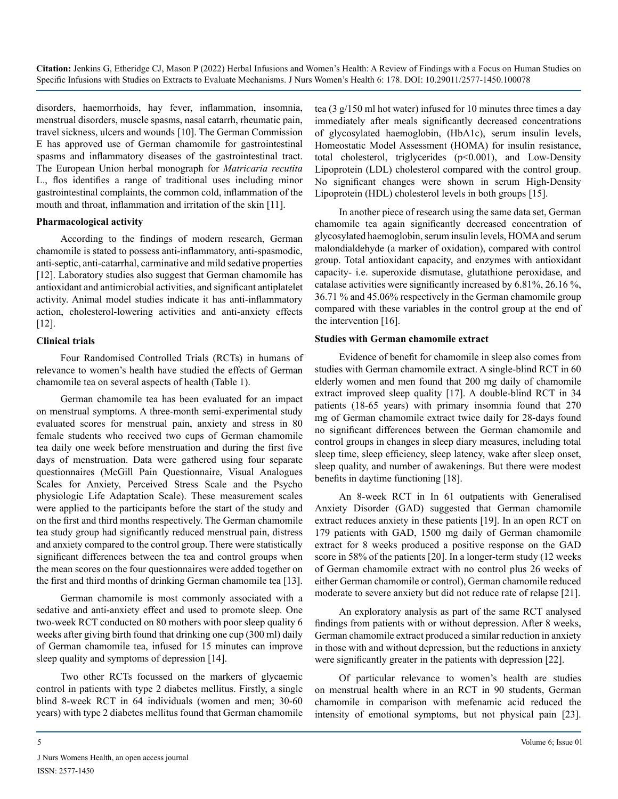disorders, haemorrhoids, hay fever, inflammation, insomnia, menstrual disorders, muscle spasms, nasal catarrh, rheumatic pain, travel sickness, ulcers and wounds [10]. The German Commission E has approved use of German chamomile for gastrointestinal spasms and inflammatory diseases of the gastrointestinal tract. The European Union herbal monograph for *Matricaria recutita*  L., flos identifies a range of traditional uses including minor gastrointestinal complaints, the common cold, inflammation of the mouth and throat, inflammation and irritation of the skin [11].

#### **Pharmacological activity**

According to the findings of modern research, German chamomile is stated to possess anti-inflammatory, anti-spasmodic, anti-septic, anti-catarrhal, carminative and mild sedative properties [12]. Laboratory studies also suggest that German chamomile has antioxidant and antimicrobial activities, and significant antiplatelet activity. Animal model studies indicate it has anti-inflammatory action, cholesterol-lowering activities and anti-anxiety effects [12].

#### **Clinical trials**

Four Randomised Controlled Trials (RCTs) in humans of relevance to women's health have studied the effects of German chamomile tea on several aspects of health (Table 1).

German chamomile tea has been evaluated for an impact on menstrual symptoms. A three-month semi-experimental study evaluated scores for menstrual pain, anxiety and stress in 80 female students who received two cups of German chamomile tea daily one week before menstruation and during the first five days of menstruation. Data were gathered using four separate questionnaires (McGill Pain Questionnaire, Visual Analogues Scales for Anxiety, Perceived Stress Scale and the Psycho physiologic Life Adaptation Scale). These measurement scales were applied to the participants before the start of the study and on the first and third months respectively. The German chamomile tea study group had significantly reduced menstrual pain, distress and anxiety compared to the control group. There were statistically significant differences between the tea and control groups when the mean scores on the four questionnaires were added together on the first and third months of drinking German chamomile tea [13].

German chamomile is most commonly associated with a sedative and anti-anxiety effect and used to promote sleep. One two-week RCT conducted on 80 mothers with poor sleep quality 6 weeks after giving birth found that drinking one cup (300 ml) daily of German chamomile tea, infused for 15 minutes can improve sleep quality and symptoms of depression [14].

Two other RCTs focussed on the markers of glycaemic control in patients with type 2 diabetes mellitus. Firstly, a single blind 8-week RCT in 64 individuals (women and men; 30-60 years) with type 2 diabetes mellitus found that German chamomile tea (3 g/150 ml hot water) infused for 10 minutes three times a day immediately after meals significantly decreased concentrations of glycosylated haemoglobin, (HbA1c), serum insulin levels, Homeostatic Model Assessment (HOMA) for insulin resistance, total cholesterol, triglycerides (p<0.001), and Low-Density Lipoprotein (LDL) cholesterol compared with the control group. No significant changes were shown in serum High-Density Lipoprotein (HDL) cholesterol levels in both groups [15].

In another piece of research using the same data set, German chamomile tea again significantly decreased concentration of glycosylated haemoglobin, serum insulin levels, HOMA and serum malondialdehyde (a marker of oxidation), compared with control group. Total antioxidant capacity, and enzymes with antioxidant capacity- i.e. superoxide dismutase, glutathione peroxidase, and catalase activities were significantly increased by 6.81%, 26.16 %, 36.71 % and 45.06% respectively in the German chamomile group compared with these variables in the control group at the end of the intervention [16].

#### **Studies with German chamomile extract**

Evidence of benefit for chamomile in sleep also comes from studies with German chamomile extract. A single-blind RCT in 60 elderly women and men found that 200 mg daily of chamomile extract improved sleep quality [17]. A double-blind RCT in 34 patients (18-65 years) with primary insomnia found that 270 mg of German chamomile extract twice daily for 28-days found no significant differences between the German chamomile and control groups in changes in sleep diary measures, including total sleep time, sleep efficiency, sleep latency, wake after sleep onset, sleep quality, and number of awakenings. But there were modest benefits in daytime functioning [18].

An 8-week RCT in In 61 outpatients with Generalised Anxiety Disorder (GAD) suggested that German chamomile extract reduces anxiety in these patients [19]. In an open RCT on 179 patients with GAD, 1500 mg daily of German chamomile extract for 8 weeks produced a positive response on the GAD score in 58% of the patients [20]. In a longer-term study (12 weeks of German chamomile extract with no control plus 26 weeks of either German chamomile or control), German chamomile reduced moderate to severe anxiety but did not reduce rate of relapse [21].

An exploratory analysis as part of the same RCT analysed findings from patients with or without depression. After 8 weeks, German chamomile extract produced a similar reduction in anxiety in those with and without depression, but the reductions in anxiety were significantly greater in the patients with depression [22].

Of particular relevance to women's health are studies on menstrual health where in an RCT in 90 students, German chamomile in comparison with mefenamic acid reduced the intensity of emotional symptoms, but not physical pain [23].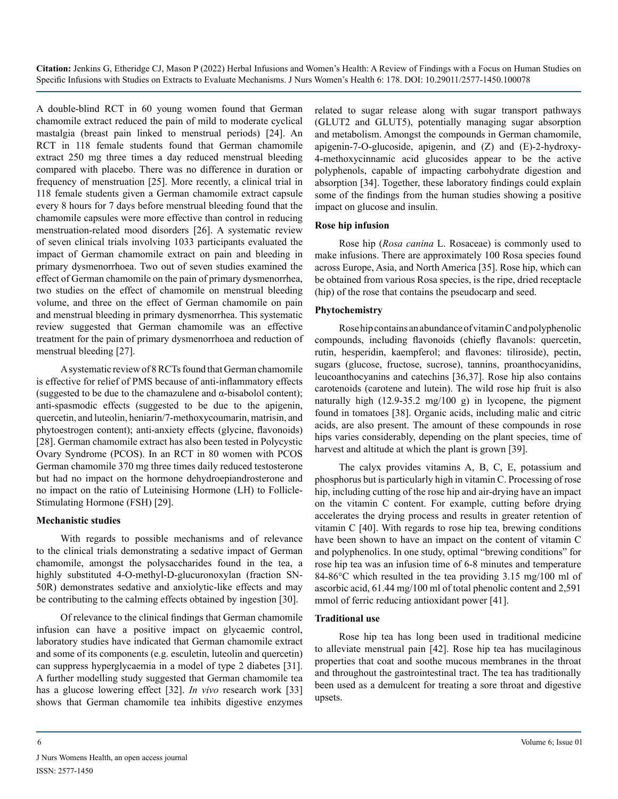A double-blind RCT in 60 young women found that German chamomile extract reduced the pain of mild to moderate cyclical mastalgia (breast pain linked to menstrual periods) [24]. An RCT in 118 female students found that German chamomile extract 250 mg three times a day reduced menstrual bleeding compared with placebo. There was no difference in duration or frequency of menstruation [25]. More recently, a clinical trial in 118 female students given a German chamomile extract capsule every 8 hours for 7 days before menstrual bleeding found that the chamomile capsules were more effective than control in reducing menstruation-related mood disorders [26]. A systematic review of seven clinical trials involving 1033 participants evaluated the impact of German chamomile extract on pain and bleeding in primary dysmenorrhoea. Two out of seven studies examined the effect of German chamomile on the pain of primary dysmenorrhea, two studies on the effect of chamomile on menstrual bleeding volume, and three on the effect of German chamomile on pain and menstrual bleeding in primary dysmenorrhea. This systematic review suggested that German chamomile was an effective treatment for the pain of primary dysmenorrhoea and reduction of menstrual bleeding [27].

A systematic review of 8 RCTs found that German chamomile is effective for relief of PMS because of anti-inflammatory effects (suggested to be due to the chamazulene and α-bisabolol content); anti-spasmodic effects (suggested to be due to the apigenin, quercetin, and luteolin, heniarin/7-methoxycoumarin, matrisin, and phytoestrogen content); anti-anxiety effects (glycine, flavonoids) [28]. German chamomile extract has also been tested in Polycystic Ovary Syndrome (PCOS). In an RCT in 80 women with PCOS German chamomile 370 mg three times daily reduced testosterone but had no impact on the hormone dehydroepiandrosterone and no impact on the ratio of Luteinising Hormone (LH) to Follicle-Stimulating Hormone (FSH) [29].

#### **Mechanistic studies**

With regards to possible mechanisms and of relevance to the clinical trials demonstrating a sedative impact of German chamomile, amongst the polysaccharides found in the tea, a highly substituted 4-O-methyl-D-glucuronoxylan (fraction SN-50R) demonstrates sedative and anxiolytic-like effects and may be contributing to the calming effects obtained by ingestion [30].

Of relevance to the clinical findings that German chamomile infusion can have a positive impact on glycaemic control, laboratory studies have indicated that German chamomile extract and some of its components (e.g. esculetin, luteolin and quercetin) can suppress hyperglycaemia in a model of type 2 diabetes [31]. A further modelling study suggested that German chamomile tea has a glucose lowering effect [32]. *In vivo* research work [33] shows that German chamomile tea inhibits digestive enzymes

related to sugar release along with sugar transport pathways (GLUT2 and GLUT5), potentially managing sugar absorption and metabolism. Amongst the compounds in German chamomile, apigenin-7-O-glucoside, apigenin, and (Z) and (E)-2-hydroxy-4-methoxycinnamic acid glucosides appear to be the active polyphenols, capable of impacting carbohydrate digestion and absorption [34]. Together, these laboratory findings could explain some of the findings from the human studies showing a positive impact on glucose and insulin.

#### **Rose hip infusion**

Rose hip (*Rosa canina* L. Rosaceae) is commonly used to make infusions. There are approximately 100 Rosa species found across Europe, Asia, and North America [35]. Rose hip, which can be obtained from various Rosa species, is the ripe, dried receptacle (hip) of the rose that contains the pseudocarp and seed.

#### **Phytochemistry**

Rose hip contains an abundance of vitamin C and polyphenolic compounds, including flavonoids (chiefly flavanols: quercetin, rutin, hesperidin, kaempferol; and flavones: tiliroside), pectin, sugars (glucose, fructose, sucrose), tannins, proanthocyanidins, leucoanthocyanins and catechins [36,37]. Rose hip also contains carotenoids (carotene and lutein). The wild rose hip fruit is also naturally high (12.9-35.2 mg/100 g) in lycopene, the pigment found in tomatoes [38]. Organic acids, including malic and citric acids, are also present. The amount of these compounds in rose hips varies considerably, depending on the plant species, time of harvest and altitude at which the plant is grown [39].

The calyx provides vitamins A, B, C, E, potassium and phosphorus but is particularly high in vitamin C. Processing of rose hip, including cutting of the rose hip and air-drying have an impact on the vitamin C content. For example, cutting before drying accelerates the drying process and results in greater retention of vitamin C [40]. With regards to rose hip tea, brewing conditions have been shown to have an impact on the content of vitamin C and polyphenolics. In one study, optimal "brewing conditions" for rose hip tea was an infusion time of 6-8 minutes and temperature 84-86°C which resulted in the tea providing 3.15 mg/100 ml of ascorbic acid, 61.44 mg/100 ml of total phenolic content and 2,591 mmol of ferric reducing antioxidant power [41].

#### **Traditional use**

Rose hip tea has long been used in traditional medicine to alleviate menstrual pain [42]. Rose hip tea has mucilaginous properties that coat and soothe mucous membranes in the throat and throughout the gastrointestinal tract. The tea has traditionally been used as a demulcent for treating a sore throat and digestive upsets.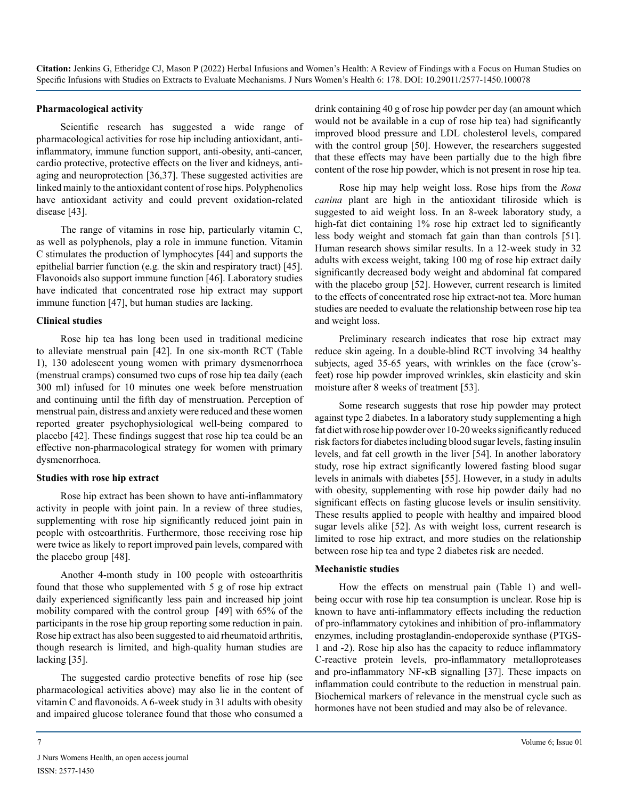#### **Pharmacological activity**

Scientific research has suggested a wide range of pharmacological activities for rose hip including antioxidant, antiinflammatory, immune function support, anti-obesity, anti-cancer, cardio protective, protective effects on the liver and kidneys, antiaging and neuroprotection [36,37]. These suggested activities are linked mainly to the antioxidant content of rose hips. Polyphenolics have antioxidant activity and could prevent oxidation-related disease [43].

The range of vitamins in rose hip, particularly vitamin C, as well as polyphenols, play a role in immune function. Vitamin C stimulates the production of lymphocytes [44] and supports the epithelial barrier function (e.g*.* the skin and respiratory tract) [45]. Flavonoids also support immune function [46]. Laboratory studies have indicated that concentrated rose hip extract may support immune function [47], but human studies are lacking.

#### **Clinical studies**

Rose hip tea has long been used in traditional medicine to alleviate menstrual pain [42]. In one six-month RCT (Table 1), 130 adolescent young women with primary dysmenorrhoea (menstrual cramps) consumed two cups of rose hip tea daily (each 300 ml) infused for 10 minutes one week before menstruation and continuing until the fifth day of menstruation. Perception of menstrual pain, distress and anxiety were reduced and these women reported greater psychophysiological well-being compared to placebo [42]. These findings suggest that rose hip tea could be an effective non-pharmacological strategy for women with primary dysmenorrhoea.

#### **Studies with rose hip extract**

Rose hip extract has been shown to have anti-inflammatory activity in people with joint pain. In a review of three studies, supplementing with rose hip significantly reduced joint pain in people with osteoarthritis. Furthermore, those receiving rose hip were twice as likely to report improved pain levels, compared with the placebo group [48].

Another 4-month study in 100 people with osteoarthritis found that those who supplemented with 5 g of rose hip extract daily experienced significantly less pain and increased hip joint mobility compared with the control group [49] with 65% of the participants in the rose hip group reporting some reduction in pain. Rose hip extract has also been suggested to aid rheumatoid arthritis, though research is limited, and high-quality human studies are lacking [35].

The suggested cardio protective benefits of rose hip (see pharmacological activities above) may also lie in the content of vitamin C and flavonoids. A 6-week study in 31 adults with obesity and impaired glucose tolerance found that those who consumed a

drink containing 40 g of rose hip powder per day (an amount which would not be available in a cup of rose hip tea) had significantly improved blood pressure and LDL cholesterol levels, compared with the control group [50]. However, the researchers suggested that these effects may have been partially due to the high fibre content of the rose hip powder, which is not present in rose hip tea.

Rose hip may help weight loss. Rose hips from the *Rosa canina* plant are high in the antioxidant tiliroside which is suggested to aid weight loss. In an 8-week laboratory study, a high-fat diet containing 1% rose hip extract led to significantly less body weight and stomach fat gain than than controls [51]. Human research shows similar results. In a 12-week study in 32 adults with excess weight, taking 100 mg of rose hip extract daily significantly decreased body weight and abdominal fat compared with the placebo group [52]. However, current research is limited to the effects of concentrated rose hip extract-not tea. More human studies are needed to evaluate the relationship between rose hip tea and weight loss.

Preliminary research indicates that rose hip extract may reduce skin ageing. In a double-blind RCT involving 34 healthy subjects, aged 35-65 years, with wrinkles on the face (crow'sfeet) rose hip powder improved wrinkles, skin elasticity and skin moisture after 8 weeks of treatment [53].

Some research suggests that rose hip powder may protect against type 2 diabetes. In a laboratory study supplementing a high fat diet with rose hip powder over 10-20 weeks significantly reduced risk factors for diabetes including blood sugar levels, fasting insulin levels, and fat cell growth in the liver [54]. In another laboratory study, rose hip extract significantly lowered fasting blood sugar levels in animals with diabetes [55]. However, in a study in adults with obesity, supplementing with rose hip powder daily had no significant effects on fasting glucose levels or insulin sensitivity. These results applied to people with healthy and impaired blood sugar levels alike [52]. As with weight loss, current research is limited to rose hip extract, and more studies on the relationship between rose hip tea and type 2 diabetes risk are needed.

#### **Mechanistic studies**

How the effects on menstrual pain (Table 1) and wellbeing occur with rose hip tea consumption is unclear. Rose hip is known to have anti-inflammatory effects including the reduction of pro-inflammatory cytokines and inhibition of pro-inflammatory enzymes, including prostaglandin-endoperoxide synthase (PTGS-1 and -2). Rose hip also has the capacity to reduce inflammatory C-reactive protein levels, pro-inflammatory metalloproteases and pro-inflammatory NF-κB signalling [37]. These impacts on inflammation could contribute to the reduction in menstrual pain. Biochemical markers of relevance in the menstrual cycle such as hormones have not been studied and may also be of relevance.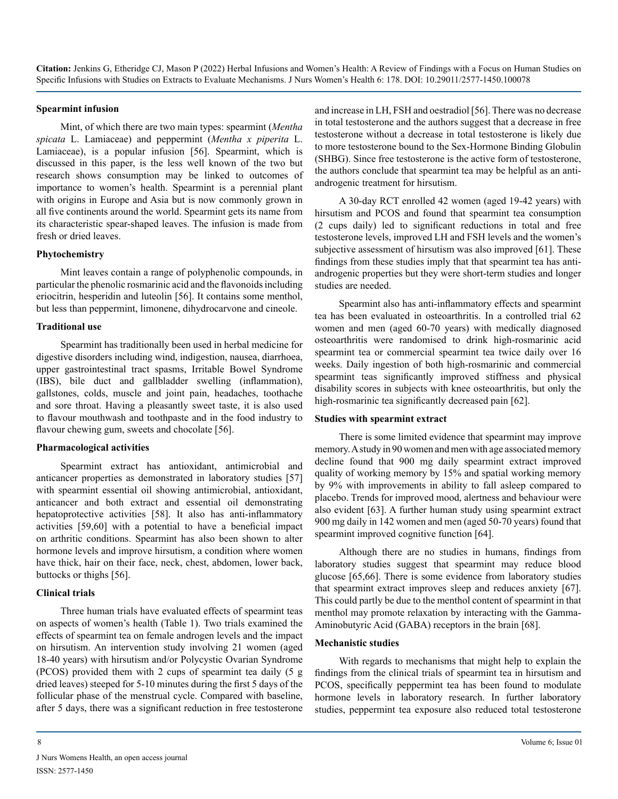#### **Spearmint infusion**

Mint, of which there are two main types: spearmint (*Mentha spicata* L. Lamiaceae) and peppermint (*Mentha x piperita* L. Lamiaceae), is a popular infusion [56]. Spearmint, which is discussed in this paper, is the less well known of the two but research shows consumption may be linked to outcomes of importance to women's health. Spearmint is a perennial plant with origins in Europe and Asia but is now commonly grown in all five continents around the world. Spearmint gets its name from its characteristic spear-shaped leaves. The infusion is made from fresh or dried leaves.

#### **Phytochemistry**

Mint leaves contain a range of polyphenolic compounds, in particular the phenolic rosmarinic acid and the flavonoids including eriocitrin, hesperidin and luteolin [56]. It contains some menthol, but less than peppermint, limonene, dihydrocarvone and cineole.

#### **Traditional use**

Spearmint has traditionally been used in herbal medicine for digestive disorders including wind, indigestion, nausea, diarrhoea, upper gastrointestinal tract spasms, Irritable Bowel Syndrome (IBS), bile duct and gallbladder swelling (inflammation), gallstones, colds, muscle and joint pain, headaches, toothache and sore throat. Having a pleasantly sweet taste, it is also used to flavour mouthwash and toothpaste and in the food industry to flavour chewing gum, sweets and chocolate [56].

#### **Pharmacological activities**

Spearmint extract has antioxidant, antimicrobial and anticancer properties as demonstrated in laboratory studies [57] with spearmint essential oil showing antimicrobial, antioxidant, anticancer and both extract and essential oil demonstrating hepatoprotective activities [58]. It also has anti-inflammatory activities [59,60] with a potential to have a beneficial impact on arthritic conditions. Spearmint has also been shown to alter hormone levels and improve hirsutism, a condition where women have thick, hair on their face, neck, chest, abdomen, lower back, buttocks or thighs [56].

#### **Clinical trials**

Three human trials have evaluated effects of spearmint teas on aspects of women's health (Table 1). Two trials examined the effects of spearmint tea on female androgen levels and the impact on hirsutism. An intervention study involving 21 women (aged 18-40 years) with hirsutism and/or Polycystic Ovarian Syndrome (PCOS) provided them with 2 cups of spearmint tea daily (5 g dried leaves) steeped for 5-10 minutes during the first 5 days of the follicular phase of the menstrual cycle. Compared with baseline, after 5 days, there was a significant reduction in free testosterone and increase in LH, FSH and oestradiol [56]. There was no decrease in total testosterone and the authors suggest that a decrease in free testosterone without a decrease in total testosterone is likely due to more testosterone bound to the Sex-Hormone Binding Globulin (SHBG). Since free testosterone is the active form of testosterone, the authors conclude that spearmint tea may be helpful as an antiandrogenic treatment for hirsutism.

A 30-day RCT enrolled 42 women (aged 19-42 years) with hirsutism and PCOS and found that spearmint tea consumption (2 cups daily) led to significant reductions in total and free testosterone levels, improved LH and FSH levels and the women's subjective assessment of hirsutism was also improved [61]. These findings from these studies imply that that spearmint tea has antiandrogenic properties but they were short-term studies and longer studies are needed.

Spearmint also has anti-inflammatory effects and spearmint tea has been evaluated in osteoarthritis. In a controlled trial 62 women and men (aged 60-70 years) with medically diagnosed osteoarthritis were randomised to drink high-rosmarinic acid spearmint tea or commercial spearmint tea twice daily over 16 weeks. Daily ingestion of both high-rosmarinic and commercial spearmint teas significantly improved stiffness and physical disability scores in subjects with knee osteoarthritis, but only the high-rosmarinic tea significantly decreased pain [62].

#### **Studies with spearmint extract**

There is some limited evidence that spearmint may improve memory. A study in 90 women and men with age associated memory decline found that 900 mg daily spearmint extract improved quality of working memory by 15% and spatial working memory by 9% with improvements in ability to fall asleep compared to placebo. Trends for improved mood, alertness and behaviour were also evident [63]. A further human study using spearmint extract 900 mg daily in 142 women and men (aged 50-70 years) found that spearmint improved cognitive function [64].

Although there are no studies in humans, findings from laboratory studies suggest that spearmint may reduce blood glucose [65,66]. There is some evidence from laboratory studies that spearmint extract improves sleep and reduces anxiety [67]. This could partly be due to the menthol content of spearmint in that menthol may promote relaxation by interacting with the Gamma-Aminobutyric Acid (GABA) receptors in the brain [68].

#### **Mechanistic studies**

With regards to mechanisms that might help to explain the findings from the clinical trials of spearmint tea in hirsutism and PCOS, specifically peppermint tea has been found to modulate hormone levels in laboratory research. In further laboratory studies, peppermint tea exposure also reduced total testosterone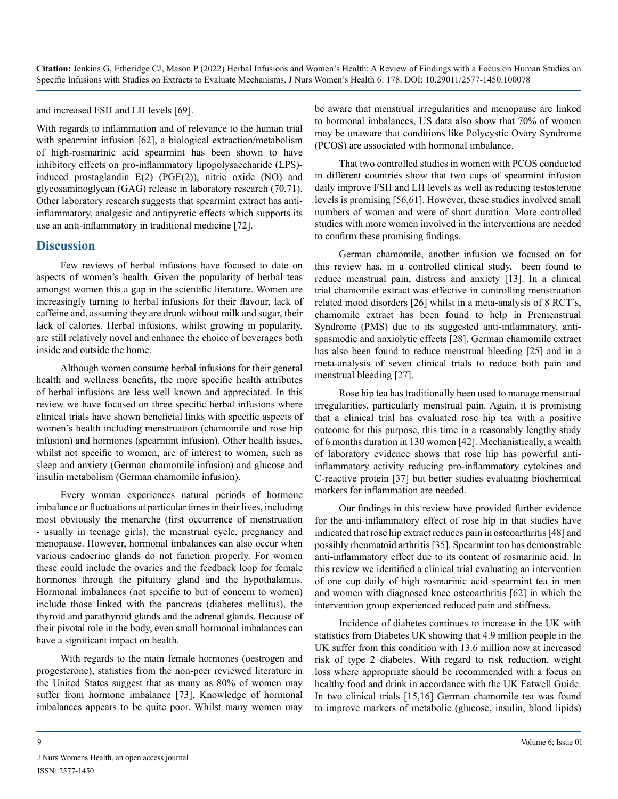and increased FSH and LH levels [69].

With regards to inflammation and of relevance to the human trial with spearmint infusion [62], a biological extraction/metabolism of high-rosmarinic acid spearmint has been shown to have inhibitory effects on pro-inflammatory lipopolysaccharide (LPS) induced prostaglandin E(2) (PGE(2)), nitric oxide (NO) and glycosaminoglycan (GAG) release in laboratory research (70,71). Other laboratory research suggests that spearmint extract has antiinflammatory, analgesic and antipyretic effects which supports its use an anti-inflammatory in traditional medicine [72].

#### **Discussion**

Few reviews of herbal infusions have focused to date on aspects of women's health. Given the popularity of herbal teas amongst women this a gap in the scientific literature. Women are increasingly turning to herbal infusions for their flavour, lack of caffeine and, assuming they are drunk without milk and sugar, their lack of calories. Herbal infusions, whilst growing in popularity, are still relatively novel and enhance the choice of beverages both inside and outside the home.

Although women consume herbal infusions for their general health and wellness benefits, the more specific health attributes of herbal infusions are less well known and appreciated. In this review we have focused on three specific herbal infusions where clinical trials have shown beneficial links with specific aspects of women's health including menstruation (chamomile and rose hip infusion) and hormones (spearmint infusion). Other health issues, whilst not specific to women, are of interest to women, such as sleep and anxiety (German chamomile infusion) and glucose and insulin metabolism (German chamomile infusion).

Every woman experiences natural periods of hormone imbalance or fluctuations at particular times in their lives, including most obviously the menarche (first occurrence of menstruation - usually in teenage girls), the menstrual cycle, pregnancy and menopause. However, hormonal imbalances can also occur when various endocrine glands do not function properly. For women these could include the ovaries and the feedback loop for female hormones through the pituitary gland and the hypothalamus. Hormonal imbalances (not specific to but of concern to women) include those linked with the pancreas (diabetes mellitus), the thyroid and parathyroid glands and the adrenal glands. Because of their pivotal role in the body, even small hormonal imbalances can have a significant impact on health.

With regards to the main female hormones (oestrogen and progesterone), statistics from the non-peer reviewed literature in the United States suggest that as many as 80% of women may suffer from hormone imbalance [73]. Knowledge of hormonal imbalances appears to be quite poor. Whilst many women may be aware that menstrual irregularities and menopause are linked to hormonal imbalances, US data also show that 70% of women may be unaware that conditions like Polycystic Ovary Syndrome (PCOS) are associated with hormonal imbalance.

That two controlled studies in women with PCOS conducted in different countries show that two cups of spearmint infusion daily improve FSH and LH levels as well as reducing testosterone levels is promising [56,61]. However, these studies involved small numbers of women and were of short duration. More controlled studies with more women involved in the interventions are needed to confirm these promising findings.

German chamomile, another infusion we focused on for this review has, in a controlled clinical study, been found to reduce menstrual pain, distress and anxiety [13]. In a clinical trial chamomile extract was effective in controlling menstruation related mood disorders [26] whilst in a meta-analysis of 8 RCT's, chamomile extract has been found to help in Premenstrual Syndrome (PMS) due to its suggested anti-inflammatory, antispasmodic and anxiolytic effects [28]. German chamomile extract has also been found to reduce menstrual bleeding [25] and in a meta-analysis of seven clinical trials to reduce both pain and menstrual bleeding [27].

Rose hip tea has traditionally been used to manage menstrual irregularities, particularly menstrual pain. Again, it is promising that a clinical trial has evaluated rose hip tea with a positive outcome for this purpose, this time in a reasonably lengthy study of 6 months duration in 130 women [42]. Mechanistically, a wealth of laboratory evidence shows that rose hip has powerful antiinflammatory activity reducing pro-inflammatory cytokines and C-reactive protein [37] but better studies evaluating biochemical markers for inflammation are needed.

Our findings in this review have provided further evidence for the anti-inflammatory effect of rose hip in that studies have indicated that rose hip extract reduces pain in osteoarthritis [48] and possibly rheumatoid arthritis [35]. Spearmint too has demonstrable anti-inflammatory effect due to its content of rosmarinic acid. In this review we identified a clinical trial evaluating an intervention of one cup daily of high rosmarinic acid spearmint tea in men and women with diagnosed knee osteoarthritis [62] in which the intervention group experienced reduced pain and stiffness.

Incidence of diabetes continues to increase in the UK with statistics from Diabetes UK showing that 4.9 million people in the UK suffer from this condition with 13.6 million now at increased risk of type 2 diabetes. With regard to risk reduction, weight loss where appropriate should be recommended with a focus on healthy food and drink in accordance with the UK Eatwell Guide. In two clinical trials [15,16] German chamomile tea was found to improve markers of metabolic (glucose, insulin, blood lipids)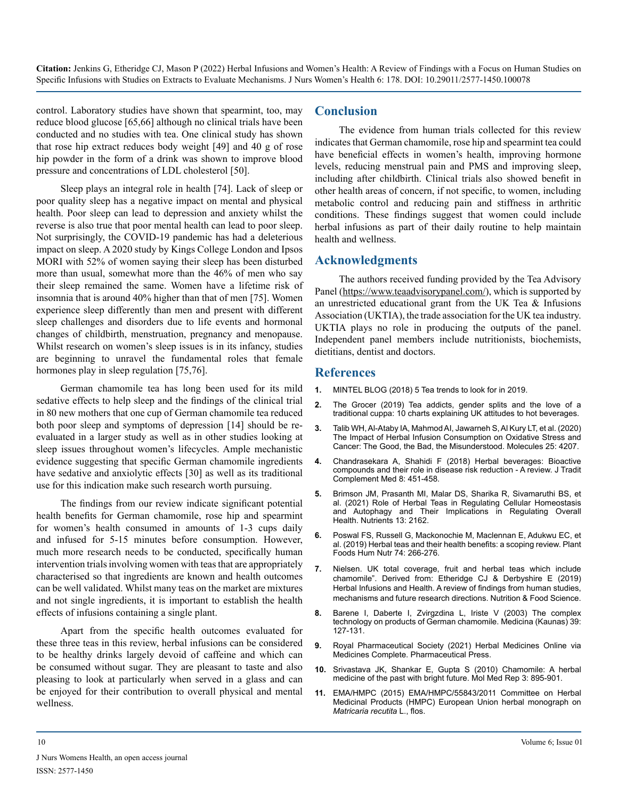control. Laboratory studies have shown that spearmint, too, may reduce blood glucose [65,66] although no clinical trials have been conducted and no studies with tea. One clinical study has shown that rose hip extract reduces body weight [49] and 40 g of rose hip powder in the form of a drink was shown to improve blood pressure and concentrations of LDL cholesterol [50].

Sleep plays an integral role in health [74]. Lack of sleep or poor quality sleep has a negative impact on mental and physical health. Poor sleep can lead to depression and anxiety whilst the reverse is also true that poor mental health can lead to poor sleep. Not surprisingly, the COVID-19 pandemic has had a deleterious impact on sleep. A 2020 study by Kings College London and Ipsos MORI with 52% of women saying their sleep has been disturbed more than usual, somewhat more than the 46% of men who say their sleep remained the same. Women have a lifetime risk of insomnia that is around 40% higher than that of men [75]. Women experience sleep differently than men and present with different sleep challenges and disorders due to life events and hormonal changes of childbirth, menstruation, pregnancy and menopause. Whilst research on women's sleep issues is in its infancy, studies are beginning to unravel the fundamental roles that female hormones play in sleep regulation [75,76].

German chamomile tea has long been used for its mild sedative effects to help sleep and the findings of the clinical trial in 80 new mothers that one cup of German chamomile tea reduced both poor sleep and symptoms of depression [14] should be reevaluated in a larger study as well as in other studies looking at sleep issues throughout women's lifecycles. Ample mechanistic evidence suggesting that specific German chamomile ingredients have sedative and anxiolytic effects [30] as well as its traditional use for this indication make such research worth pursuing.

The findings from our review indicate significant potential health benefits for German chamomile, rose hip and spearmint for women's health consumed in amounts of 1-3 cups daily and infused for 5-15 minutes before consumption. However, much more research needs to be conducted, specifically human intervention trials involving women with teas that are appropriately characterised so that ingredients are known and health outcomes can be well validated. Whilst many teas on the market are mixtures and not single ingredients, it is important to establish the health effects of infusions containing a single plant.

Apart from the specific health outcomes evaluated for these three teas in this review, herbal infusions can be considered to be healthy drinks largely devoid of caffeine and which can be consumed without sugar. They are pleasant to taste and also pleasing to look at particularly when served in a glass and can be enjoyed for their contribution to overall physical and mental wellness.

#### **Conclusion**

The evidence from human trials collected for this review indicates that German chamomile, rose hip and spearmint tea could have beneficial effects in women's health, improving hormone levels, reducing menstrual pain and PMS and improving sleep, including after childbirth. Clinical trials also showed benefit in other health areas of concern, if not specific, to women, including metabolic control and reducing pain and stiffness in arthritic conditions. These findings suggest that women could include herbal infusions as part of their daily routine to help maintain health and wellness.

#### **Acknowledgments**

The authors received funding provided by the Tea Advisory Panel (<https://www.teaadvisorypanel.com/>), which is supported by an unrestricted educational grant from the UK Tea & Infusions Association (UKTIA), the trade association for the UK tea industry. UKTIA plays no role in producing the outputs of the panel. Independent panel members include nutritionists, biochemists, dietitians, dentist and doctors.

#### **References**

- **1.** [MINTEL BLOG \(2018\) 5 Tea trends to look for in 2019.](http://www.mintel.com/blog/drink-market-news/5-tea-trends-to-look-for-in-2019)
- **2.** [The Grocer \(2019\) Tea addicts, gender splits and the love of a](https://www.thegrocer.co.uk/trend-reports/10-charts-explaining-uk-attitudes-to-hot-beverages/597574.article) [traditional cuppa: 10 charts explaining UK attitudes to hot beverages.](https://www.thegrocer.co.uk/trend-reports/10-charts-explaining-uk-attitudes-to-hot-beverages/597574.article)
- **3.** [Talib WH, Al-Ataby IA, Mahmod AI, Jawarneh S, Al Kury LT, et al. \(2020\)](https://pubmed.ncbi.nlm.nih.gov/32937891/)  [The Impact of Herbal Infusion Consumption on Oxidative Stress and](https://pubmed.ncbi.nlm.nih.gov/32937891/)  [Cancer: The Good, the Bad, the Misunderstood.](https://pubmed.ncbi.nlm.nih.gov/32937891/) Molecules 25: 4207.
- **4.** [Chandrasekara A, Shahidi F \(2018\) Herbal beverages: Bioactive](https://www.ncbi.nlm.nih.gov/pmc/articles/PMC6174262/)  [compounds and their role in disease risk reduction - A review. J Tradit](https://www.ncbi.nlm.nih.gov/pmc/articles/PMC6174262/)  [Complement Med 8: 451-458.](https://www.ncbi.nlm.nih.gov/pmc/articles/PMC6174262/)
- **5.** [Brimson JM, Prasanth MI, Malar DS, Sharika R, Sivamaruthi BS, et](https://www.ncbi.nlm.nih.gov/pmc/articles/PMC8308238/)  [al. \(2021\) Role of Herbal Teas in Regulating Cellular Homeostasis](https://www.ncbi.nlm.nih.gov/pmc/articles/PMC8308238/)  [and Autophagy and Their Implications in Regulating Overall](https://www.ncbi.nlm.nih.gov/pmc/articles/PMC8308238/)  Health. [Nutrients 13: 2162.](https://www.ncbi.nlm.nih.gov/pmc/articles/PMC8308238/)
- **6.** [Poswal FS, Russell G, Mackonochie M, Maclennan E, Adukwu EC, et](https://pubmed.ncbi.nlm.nih.gov/31243622/)  [al. \(2019\) Herbal teas and their health benefits: a scoping review. Plant](https://pubmed.ncbi.nlm.nih.gov/31243622/)  [Foods Hum Nutr 74: 266-276.](https://pubmed.ncbi.nlm.nih.gov/31243622/)
- **7.** [Nielsen. UK total coverage, fruit and herbal teas which include](https://www.emerald.com/insight/content/doi/10.1108/NFS-08-2019-0263/full/html)  [chamomile". Derived from: Etheridge CJ & Derbyshire E \(2019\)](https://www.emerald.com/insight/content/doi/10.1108/NFS-08-2019-0263/full/html)  [Herbal Infusions and Health. A review of findings from human studies,](https://www.emerald.com/insight/content/doi/10.1108/NFS-08-2019-0263/full/html)  [mechanisms and future research directions. Nutrition & Food Science.](https://www.emerald.com/insight/content/doi/10.1108/NFS-08-2019-0263/full/html)
- **8.** [Barene I, Daberte I, Zvirgzdina L, Iriste V \(2003\) The complex](https://pubmed.ncbi.nlm.nih.gov/14617873/)  [technology on products of German chamomile.](https://pubmed.ncbi.nlm.nih.gov/14617873/) Medicina (Kaunas) 39: [127-131.](https://pubmed.ncbi.nlm.nih.gov/14617873/)
- **9.** [Royal Pharmaceutical Society \(2021\) Herbal Medicines Online via](https://www.pharmpress.com/product/MC_HERB/herbal-medicines)  [Medicines Complete. Pharmaceutical Press.](https://www.pharmpress.com/product/MC_HERB/herbal-medicines)
- **10.** [Srivastava JK, Shankar E, Gupta S \(2010\) Chamomile: A herbal](https://pubmed.ncbi.nlm.nih.gov/21132119/)  [medicine of the past with bright future.](https://pubmed.ncbi.nlm.nih.gov/21132119/) Mol Med Rep 3: 895-901.
- **11.** [EMA/HMPC \(2015\) EMA/HMPC/55843/2011 Committee on Herbal](https://www.ema.europa.eu/en/documents/herbal-monograph/final-european-union-herbal-monograph-matricaria-recutita-l-flos-first-version_en.pdf)  [Medicinal Products \(HMPC\) European Union herbal monograph on](https://www.ema.europa.eu/en/documents/herbal-monograph/final-european-union-herbal-monograph-matricaria-recutita-l-flos-first-version_en.pdf)  *[Matricaria recutita](https://www.ema.europa.eu/en/documents/herbal-monograph/final-european-union-herbal-monograph-matricaria-recutita-l-flos-first-version_en.pdf)* L., flos.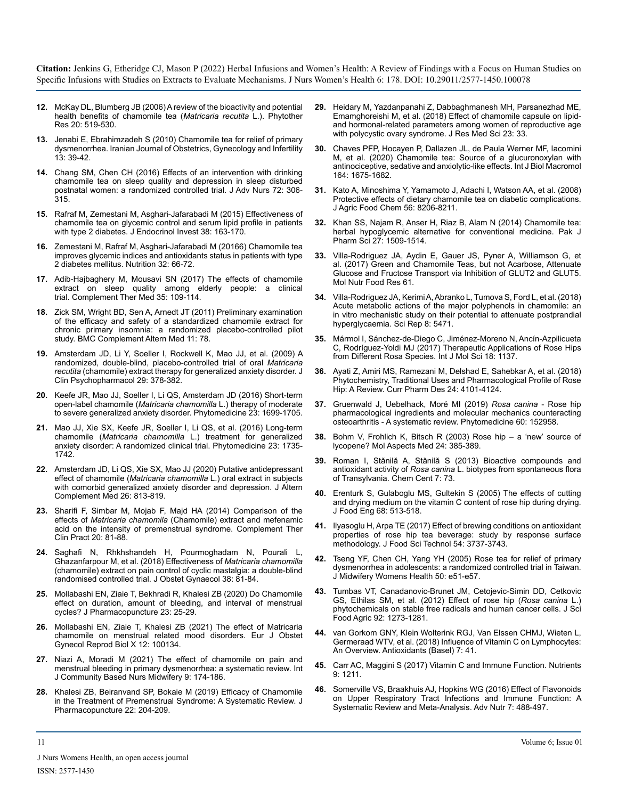- **12.** [McKay DL, Blumberg JB \(2006\) A review of the bioactivity and potential](https://pubmed.ncbi.nlm.nih.gov/16628544/)  [health benefits of chamomile tea \(](https://pubmed.ncbi.nlm.nih.gov/16628544/)*Matricaria recutita* L.). Phytother [Res 20: 519-530.](https://pubmed.ncbi.nlm.nih.gov/16628544/)
- **13.** [Jenabi E, Ebrahimzadeh S \(2010\) Chamomile tea for relief of primary](https://www.researchgate.net/publication/286965003_Chamomile_tea_for_relief_of_primary_dysmenorrhea)  dysmenorrhea. [Iranian Journal of Obstetrics, Gynecology and Infertility](https://www.researchgate.net/publication/286965003_Chamomile_tea_for_relief_of_primary_dysmenorrhea)  [13: 39-42.](https://www.researchgate.net/publication/286965003_Chamomile_tea_for_relief_of_primary_dysmenorrhea)
- **14.** [Chang SM, Chen CH \(2016\) Effects of an intervention with drinking](https://pubmed.ncbi.nlm.nih.gov/26483209/)  [chamomile tea on sleep quality and depression in sleep disturbed](https://pubmed.ncbi.nlm.nih.gov/26483209/)  [postnatal women: a randomized controlled trial.](https://pubmed.ncbi.nlm.nih.gov/26483209/) J Adv Nurs 72: 306- [315.](https://pubmed.ncbi.nlm.nih.gov/26483209/)
- **15.** [Rafraf M, Zemestani M, Asghari-Jafarabadi M \(2015\) Effectiveness of](https://pubmed.ncbi.nlm.nih.gov/25194428/)  [chamomile tea on glycemic control and serum lipid profile in patients](https://pubmed.ncbi.nlm.nih.gov/25194428/)  with type 2 diabetes. [J Endocrinol Invest 38: 163-170.](https://pubmed.ncbi.nlm.nih.gov/25194428/)
- **16.** [Zemestani M, Rafraf M, Asghari-Jafarabadi M \(20166\) Chamomile tea](https://pubmed.ncbi.nlm.nih.gov/26437613/)  [improves glycemic indices and antioxidants status in patients with type](https://pubmed.ncbi.nlm.nih.gov/26437613/)  [2 diabetes mellitus.](https://pubmed.ncbi.nlm.nih.gov/26437613/) Nutrition 32: 66-72.
- **17.** [Adib-Hajbaghery M, Mousavi SN \(2017\) The effects of chamomile](https://pubmed.ncbi.nlm.nih.gov/29154054/)  [extract on sleep quality among elderly people: a clinical](https://pubmed.ncbi.nlm.nih.gov/29154054/)  trial. [Complement Ther Med 35: 109-114.](https://pubmed.ncbi.nlm.nih.gov/29154054/)
- **18.** [Zick SM, Wright BD, Sen A, Arnedt JT \(2011\) Preliminary examination](https://pubmed.ncbi.nlm.nih.gov/21939549/)  [of the efficacy and safety of a standardized chamomile extract for](https://pubmed.ncbi.nlm.nih.gov/21939549/)  [chronic primary insomnia: a randomized placebo-controlled pilot](https://pubmed.ncbi.nlm.nih.gov/21939549/)  study. [BMC Complement Altern Med 11: 78.](https://pubmed.ncbi.nlm.nih.gov/21939549/)
- **19.** [Amsterdam JD, Li Y, Soeller I, Rockwell K, Mao JJ, et al. \(2009\) A](https://pubmed.ncbi.nlm.nih.gov/19593179/) [randomized, double-blind, placebo-controlled trial of oral](https://pubmed.ncbi.nlm.nih.gov/19593179/) *Matricaria recutita* [\(chamomile\) extract therapy for generalized anxiety disorder.](https://pubmed.ncbi.nlm.nih.gov/19593179/) J [Clin Psychopharmacol 29: 378-382.](https://pubmed.ncbi.nlm.nih.gov/19593179/)
- **20.** [Keefe JR, Mao JJ, Soeller I, Li QS, Amsterdam JD \(2016\) Short-term](https://pubmed.ncbi.nlm.nih.gov/27912871/) open-label chamomile (*Matricaria chamomilla* [L.\) therapy of moderate](https://pubmed.ncbi.nlm.nih.gov/27912871/)  [to severe generalized anxiety disorder.](https://pubmed.ncbi.nlm.nih.gov/27912871/) Phytomedicine 23: 1699-1705.
- **21.** [Mao JJ, Xie SX, Keefe JR, Soeller I, Li QS, et al. \(2016\) Long-term](https://pubmed.ncbi.nlm.nih.gov/27912875/)  chamomile (*Matricaria chamomilla* [L.\) treatment for generalized](https://pubmed.ncbi.nlm.nih.gov/27912875/)  [anxiety disorder: A randomized clinical trial.](https://pubmed.ncbi.nlm.nih.gov/27912875/) Phytomedicine 23: 1735- [1742.](https://pubmed.ncbi.nlm.nih.gov/27912875/)
- **22.** [Amsterdam JD, Li QS, Xie SX, Mao JJ \(2020\) Putative antidepressant](https://pubmed.ncbi.nlm.nih.gov/31808709/)  effect of chamomile (*Matricaria chamomilla* [L.\) oral extract in subjects](https://pubmed.ncbi.nlm.nih.gov/31808709/)  [with comorbid generalized anxiety disorder and depression.](https://pubmed.ncbi.nlm.nih.gov/31808709/) J Altern [Complement Med 26: 813-819.](https://pubmed.ncbi.nlm.nih.gov/31808709/)
- **23.** [Sharifi F, Simbar M, Mojab F, Majd HA \(2014\) Comparison of the](https://pubmed.ncbi.nlm.nih.gov/24439651/)  effects of *Matricaria chamomila* [\(Chamomile\) extract and mefenamic](https://pubmed.ncbi.nlm.nih.gov/24439651/)  [acid on the intensity of premenstrual syndrome.](https://pubmed.ncbi.nlm.nih.gov/24439651/) Complement Ther [Clin Pract 20: 81-88.](https://pubmed.ncbi.nlm.nih.gov/24439651/)
- **24.** [Saghafi N, Rhkhshandeh H, Pourmoghadam N, Pourali L,](https://pubmed.ncbi.nlm.nih.gov/29072514/)  [Ghazanfarpour M, et al. \(2018\) Effectiveness of](https://pubmed.ncbi.nlm.nih.gov/29072514/) *Matricaria chamomilla* [\(chamomile\) extract on pain control of cyclic mastalgia: a double-blind](https://pubmed.ncbi.nlm.nih.gov/29072514/)  [randomised controlled trial. J Obstet Gynaecol 38: 81-84.](https://pubmed.ncbi.nlm.nih.gov/29072514/)
- **25.** [Mollabashi EN, Ziaie T, Bekhradi R, Khalesi ZB \(2020\) Do Chamomile](https://pubmed.ncbi.nlm.nih.gov/32322432/)  [effect on duration, amount of bleeding, and interval of menstrual](https://pubmed.ncbi.nlm.nih.gov/32322432/)  [cycles? J Pharmacopuncture 23: 25-29.](https://pubmed.ncbi.nlm.nih.gov/32322432/)
- **26.** [Mollabashi EN, Ziaie T, Khalesi ZB \(2021\) The effect of Matricaria](https://pubmed.ncbi.nlm.nih.gov/34704015/)  [chamomile on menstrual related mood disorders.](https://pubmed.ncbi.nlm.nih.gov/34704015/) Eur J Obstet [Gynecol Reprod Biol X 12: 100134.](https://pubmed.ncbi.nlm.nih.gov/34704015/)
- **27.** [Niazi A, Moradi M \(2021\) The effect of chamomile on pain and](https://pubmed.ncbi.nlm.nih.gov/34222539/)  [menstrual bleeding in primary dysmenorrhea: a systematic review. Int](https://pubmed.ncbi.nlm.nih.gov/34222539/)  [J Community Based Nurs Midwifery 9: 174-186.](https://pubmed.ncbi.nlm.nih.gov/34222539/)
- **28.** [Khalesi ZB, Beiranvand SP, Bokaie M \(2019\) Efficacy of Chamomile](https://pubmed.ncbi.nlm.nih.gov/31970017/)  [in the Treatment of Premenstrual Syndrome: A Systematic Review. J](https://pubmed.ncbi.nlm.nih.gov/31970017/)  [Pharmacopuncture 22: 204-209.](https://pubmed.ncbi.nlm.nih.gov/31970017/)
- **29.** [Heidary M, Yazdanpanahi Z, Dabbaghmanesh MH, Parsanezhad ME,](https://pubmed.ncbi.nlm.nih.gov/29887901/) [Emamghoreishi M, et al. \(2018\) Effect of chamomile capsule on lipid](https://pubmed.ncbi.nlm.nih.gov/29887901/)[and hormonal-related parameters among women of reproductive age](https://pubmed.ncbi.nlm.nih.gov/29887901/)  [with polycystic ovary syndrome. J Res Med Sci 23: 33.](https://pubmed.ncbi.nlm.nih.gov/29887901/)
- **30.** [Chaves PFP, Hocayen P, Dallazen JL, de Paula Werner MF, Iacomini](https://pubmed.ncbi.nlm.nih.gov/32795578/)  [M, et al. \(2020\) Chamomile tea: Source of a glucuronoxylan with](https://pubmed.ncbi.nlm.nih.gov/32795578/)  [antinociceptive, sedative and anxiolytic-like effects.](https://pubmed.ncbi.nlm.nih.gov/32795578/) Int J Biol Macromol [164: 1675-1682.](https://pubmed.ncbi.nlm.nih.gov/32795578/)
- **31.** [Kato A, Minoshima Y, Yamamoto J, Adachi I, Watson AA, et al. \(2008\)](https://pubmed.ncbi.nlm.nih.gov/18681440/)  [Protective effects of dietary chamomile tea on diabetic complications.](https://pubmed.ncbi.nlm.nih.gov/18681440/)  [J Agric Food Chem 56: 8206-8211.](https://pubmed.ncbi.nlm.nih.gov/18681440/)
- **32.** [Khan SS, Najam R, Anser H, Riaz B, Alam N \(2014\) Chamomile tea:](https://pubmed.ncbi.nlm.nih.gov/25176245/)  [herbal hypoglycemic alternative for conventional medicine. Pak J](https://pubmed.ncbi.nlm.nih.gov/25176245/)  [Pharm Sci 27: 1509-1514.](https://pubmed.ncbi.nlm.nih.gov/25176245/)
- **33.** [Villa-Rodriguez JA, Aydin E, Gauer JS, Pyner A, Williamson G, et](https://pubmed.ncbi.nlm.nih.gov/28868668/) [al. \(2017\) Green and Chamomile Teas, but not Acarbose, Attenuate](https://pubmed.ncbi.nlm.nih.gov/28868668/)  [Glucose and Fructose Transport via Inhibition of GLUT2 and GLUT5.](https://pubmed.ncbi.nlm.nih.gov/28868668/)  [Mol Nutr Food Res 61.](https://pubmed.ncbi.nlm.nih.gov/28868668/)
- **34.** [Villa-Rodriguez JA, Kerimi A, Abranko L, Tumova S, Ford L, et al. \(2018\)](https://www.nature.com/articles/s41598-018-23736-1)  [Acute metabolic actions of the major polyphenols in chamomile: an](https://www.nature.com/articles/s41598-018-23736-1)  [in vitro mechanistic study on their potential to attenuate postprandial](https://www.nature.com/articles/s41598-018-23736-1)  [hyperglycaemia. Sci Rep 8: 5471.](https://www.nature.com/articles/s41598-018-23736-1)
- **35.** [Mármol I, Sánchez-de-Diego C, Jiménez-Moreno N, Ancín-Azpilicueta](https://pubmed.ncbi.nlm.nih.gov/28587101/)  [C, Rodríguez-Yoldi MJ \(2017\) Therapeutic Applications of Rose Hips](https://pubmed.ncbi.nlm.nih.gov/28587101/)  [from Different Rosa Species.](https://pubmed.ncbi.nlm.nih.gov/28587101/) Int J Mol Sci 18: 1137.
- **36.** [Ayati Z, Amiri MS, Ramezani M, Delshad E, Sahebkar A, et al. \(2018\)](https://pubmed.ncbi.nlm.nih.gov/30317989/) [Phytochemistry, Traditional Uses and Pharmacological Profile of Rose](https://pubmed.ncbi.nlm.nih.gov/30317989/)  [Hip: A Review. Curr Pharm Des 24: 4101-4124.](https://pubmed.ncbi.nlm.nih.gov/30317989/)
- **37.** [Gruenwald J, Uebelhack, Moré MI \(2019\)](https://pubmed.ncbi.nlm.nih.gov/31138475/) *Rosa canina* Rose hip [pharmacological ingredients and molecular mechanics counteracting](https://pubmed.ncbi.nlm.nih.gov/31138475/)  [osteoarthritis - A systematic review.](https://pubmed.ncbi.nlm.nih.gov/31138475/) Phytomedicine 60: 152958.
- **38.** Bohm V, Frohlich K, Bitsch R (2003) Rose hip a 'new' source of lycopene? Mol Aspects Med 24: 385-389.
- **39.** [Roman I, Stănilă A, Stănilă S \(2013\) Bioactive compounds and](https://pubmed.ncbi.nlm.nih.gov/23618509/)  antioxidant activity of *Rosa canina* [L. biotypes from spontaneous flora](https://pubmed.ncbi.nlm.nih.gov/23618509/)  of Transylvania. [Chem Cent 7: 73.](https://pubmed.ncbi.nlm.nih.gov/23618509/)
- **40.** [Erenturk S, Gulaboglu MS, Gultekin S \(2005\) The effects of cutting](https://www.researchgate.net/publication/223415721_The_effects_of_cutting_and_drying_medium_on_the_vitamin_C_content_of_rosehip_during_drying)  [and drying medium on the vitamin C content of rose hip during drying.](https://www.researchgate.net/publication/223415721_The_effects_of_cutting_and_drying_medium_on_the_vitamin_C_content_of_rosehip_during_drying) [J Food Eng 68: 513-518.](https://www.researchgate.net/publication/223415721_The_effects_of_cutting_and_drying_medium_on_the_vitamin_C_content_of_rosehip_during_drying)
- **41.** [Ilyasoglu H, Arpa TE \(2017\) Effect of brewing conditions on antioxidant](https://www.ncbi.nlm.nih.gov/pmc/articles/PMC5629151/)  [properties of rose hip tea beverage: study by response surface](https://www.ncbi.nlm.nih.gov/pmc/articles/PMC5629151/) [methodology. J Food Sci Technol 54: 3737-3743.](https://www.ncbi.nlm.nih.gov/pmc/articles/PMC5629151/)
- **42.** [Tseng YF, Chen CH, Yang YH \(2005\) Rose tea for relief of primary](https://pubmed.ncbi.nlm.nih.gov/16154059/)  [dysmenorrhea in adolescents: a randomized controlled trial in Taiwan.](https://pubmed.ncbi.nlm.nih.gov/16154059/)  [J Midwifery Womens Health 50: e51-e57.](https://pubmed.ncbi.nlm.nih.gov/16154059/)
- **43.** [Tumbas VT, Canadanovic-Brunet JM, Cetojevic-Simin DD, Cetkovic](https://pubmed.ncbi.nlm.nih.gov/22083314/)  [GS, Ethilas SM, et al. \(2012\) Effect of rose hip \(](https://pubmed.ncbi.nlm.nih.gov/22083314/)*Rosa canina* L.) [phytochemicals on stable free radicals and human cancer cells. J Sci](https://pubmed.ncbi.nlm.nih.gov/22083314/) [Food Agric 92: 1273-1281.](https://pubmed.ncbi.nlm.nih.gov/22083314/)
- **44.** [van Gorkom GNY, Klein Wolterink RGJ, Van Elssen CHMJ, Wieten L,](https://pubmed.ncbi.nlm.nih.gov/29534432/)  Germeraad WTV, et al. [\(2018\) Influence of Vitamin C on Lymphocytes:](https://pubmed.ncbi.nlm.nih.gov/29534432/)  [An Overview. Antioxidants \(Basel\) 7: 41.](https://pubmed.ncbi.nlm.nih.gov/29534432/)
- **45.** [Carr AC, Maggini S \(2017\) Vitamin C and Immune Function.](https://pubmed.ncbi.nlm.nih.gov/29099763/) Nutrients [9: 1211.](https://pubmed.ncbi.nlm.nih.gov/29099763/)
- **46.** [Somerville VS, Braakhuis AJ, Hopkins WG \(2016\) Effect of Flavonoids](https://pubmed.ncbi.nlm.nih.gov/27184276/)  [on Upper Respiratory Tract Infections and Immune Function: A](https://pubmed.ncbi.nlm.nih.gov/27184276/) [Systematic Review and Meta-Analysis. Adv Nutr 7: 488-497.](https://pubmed.ncbi.nlm.nih.gov/27184276/)